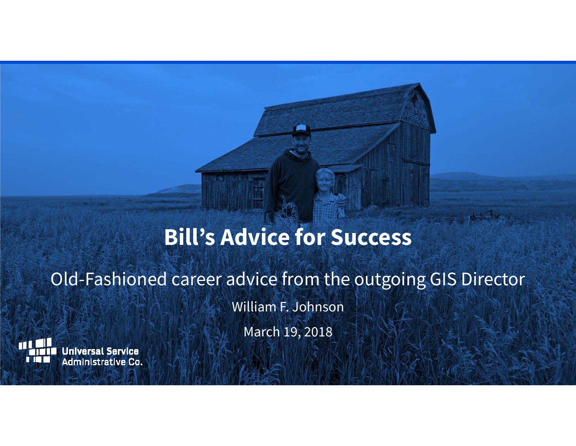# **Bill's Advice for Success**

# Old-Fashioned career advice from the outgoing GIS Director

William F. Johnson

March 19, 2018

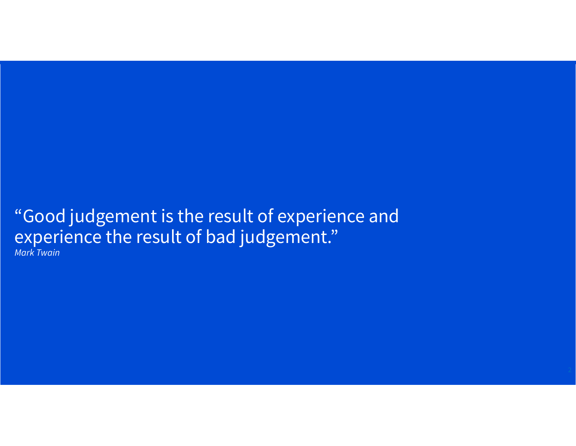# "Good judgement is the result of experience and experience the result of bad judgement."

Mark Twain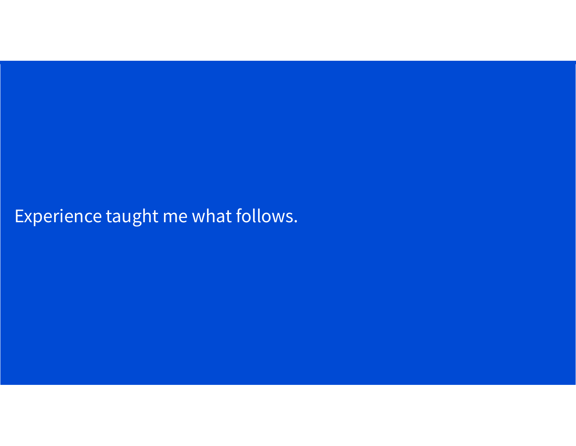Experience taught me what follows.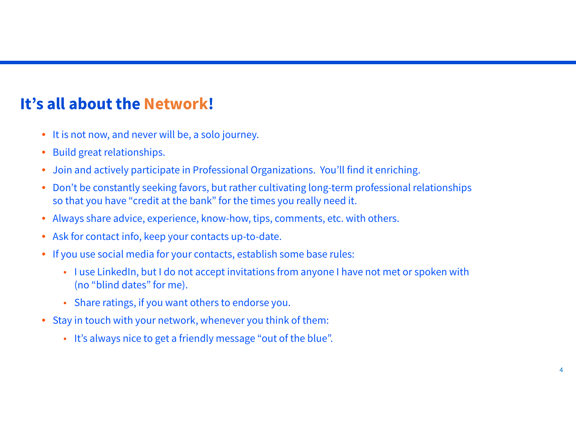## **It's all about the Network!**

- It is not now, and never will be, a solo journey.
- Build great relationships.
- $\bullet$ Join and actively participate in Professional Organizations. You'll find it enriching.
- $\bullet$  Don't be constantly seeking favors, but rather cultivating long-term professional relationships so that you have "credit at the bank" for the times you really need it.
- Always share advice, experience, know-how, tips, comments, etc. with others.
- Ask for contact info, keep your contacts up-to-date.
- If you use social media for your contacts, establish some base rules:
	- I use LinkedIn, but I do not accept invitations from anyone I have not met or spoken with (no "blind dates" for me).
	- Share ratings, if you want others to endorse you.
- Stay in touch with your network, whenever you think of them:
	- It's always nice to get a friendly message "out of the blue".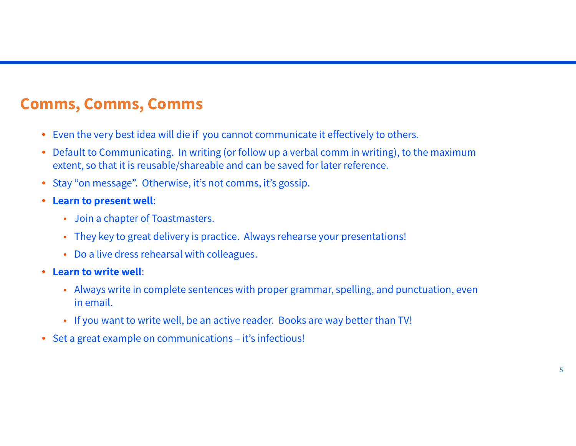#### **Comms, Comms, Comms**

- Even the very best idea will die if you cannot communicate it effectively to others.
- Default to Communicating. In writing (or follow up a verbal comm in writing), to the maximum extent, so that it is reusable/shareable and can be saved for later reference.
- $\bullet$ Stay "on message". Otherwise, it's not comms, it's gossip.
- **Learn to present well**:
	- Join a chapter of Toastmasters.
	- They key to great delivery is practice. Always rehearse your presentations!
	- Do a live dress rehearsal with colleagues.
- **Learn to write well**:
	- Always write in complete sentences with proper grammar, spelling, and punctuation, even in email.
	- If you want to write well, be an active reader. Books are way better than TV!
- Set a great example on communications it's infectious!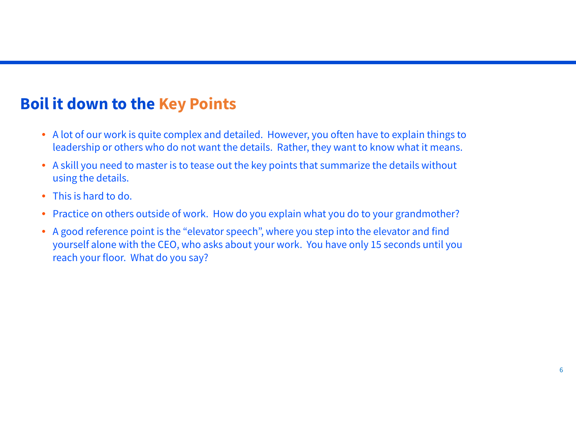#### **Boil it down to the Key Points**

- A lot of our work is quite complex and detailed. However, you often have to explain things to leadership or others who do not want the details. Rather, they want to know what it means.
- A skill you need to master is to tease out the key points that summarize the details without using the details.
- •This is hard to do.
- $\bullet$ Practice on others outside of work. How do you explain what you do to your grandmother?
- A good reference point is the "elevator speech", where you step into the elevator and find yourself alone with the CEO, who asks about your work. You have only 15 seconds until you reach your floor. What do you say?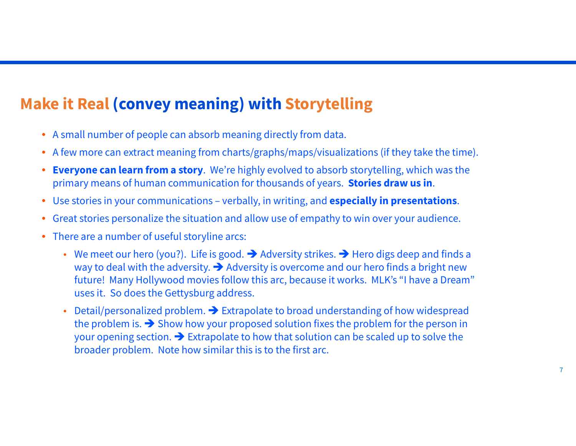### **Make it Real (convey meaning) with Storytelling**

- A small number of people can absorb meaning directly from data.
- A few more can extract meaning from charts/graphs/maps/visualizations (if they take the time).
- **Everyone can learn from a story**. We're highly evolved to absorb storytelling, which was the primary means of human communication for thousands of years. **Stories draw us in**.
- Use stories in your communications verbally, in writing, and **especially in presentations**.
- $\bullet$ Great stories personalize the situation and allow use of empathy to win over your audience.
- There are a number of useful storyline arcs:
	- We meet our hero (you?). Life is good.  $\rightarrow$  Adversity strikes.  $\rightarrow$  Hero digs deep and finds a way to deal with the adversity.  $\rightarrow$  Adversity is overcome and our hero finds a bright new future! Many Hollywood movies follow this arc, because it works. MLK's "I have a Dream" uses it. So does the Gettysburg address.
	- •Detail/personalized problem.  $\rightarrow$  Extrapolate to broad understanding of how widespread the problem is.  $\rightarrow$  Show how your proposed solution fixes the problem for the person in your opening section.  $\rightarrow$  Extrapolate to how that solution can be scaled up to solve the broader problem. Note how similar this is to the first arc.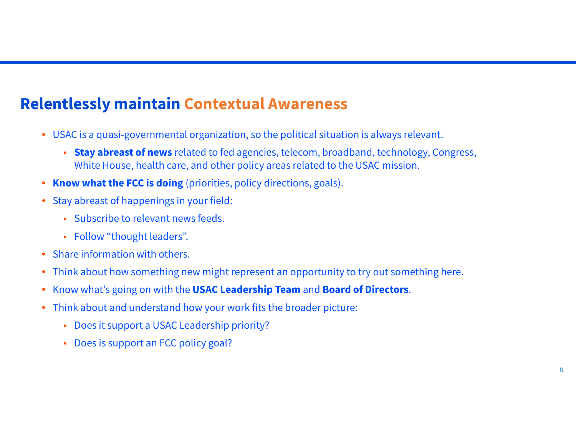#### **Relentlessly maintain Contextual Awareness**

- USAC is a quasi-governmental organization, so the political situation is always relevant.
	- • **Stay abreast of news** related to fed agencies, telecom, broadband, technology, Congress, White House, health care, and other policy areas related to the USAC mission.
- •**Know what the FCC is doing** (priorities, policy directions, goals).
- Stay abreast of happenings in your field:
	- Subscribe to relevant news feeds.
	- Follow "thought leaders".
- •Share information with others.
- $\bullet$ Think about how something new might represent an opportunity to try out something here.
- •Know what's going on with the **USAC Leadership Team** and **Board of Directors**.
- $\bullet$  Think about and understand how your work fits the broader picture:
	- Does it support a USAC Leadership priority?
	- Does is support an FCC policy goal?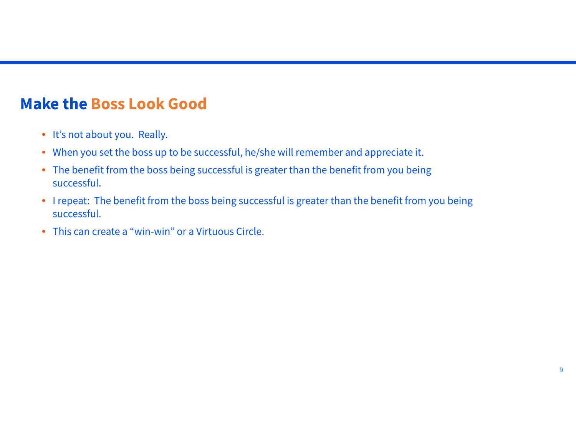#### **Make the Boss Look Good**

- It's not about you. Really.
- When you set the boss up to be successful, he/she will remember and appreciate it.
- The benefit from the boss being successful is greater than the benefit from you being successful.
- I repeat: The benefit from the boss being successful is greater than the benefit from you being successful.
- This can create a "win-win" or a Virtuous Circle.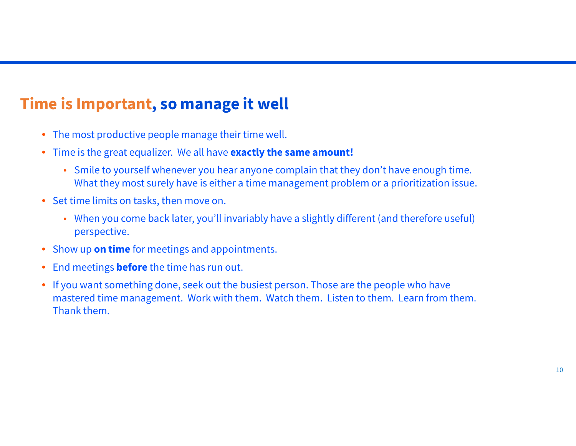## **Time is Important, so manage it well**

- The most productive people manage their time well.
- Time is the great equalizer. We all have **exactly the same amount!**
	- Smile to yourself whenever you hear anyone complain that they don't have enough time. What they most surely have is either a time management problem or a prioritization issue.
- Set time limits on tasks, then move on.
	- When you come back later, you'll invariably have a slightly different (and therefore useful) perspective.
- •Show up **on time** for meetings and appointments.
- $\bullet$ End meetings **before** the time has run out.
- $\bullet$  If you want something done, seek out the busiest person. Those are the people who have mastered time management. Work with them. Watch them. Listen to them. Learn from them. Thank them.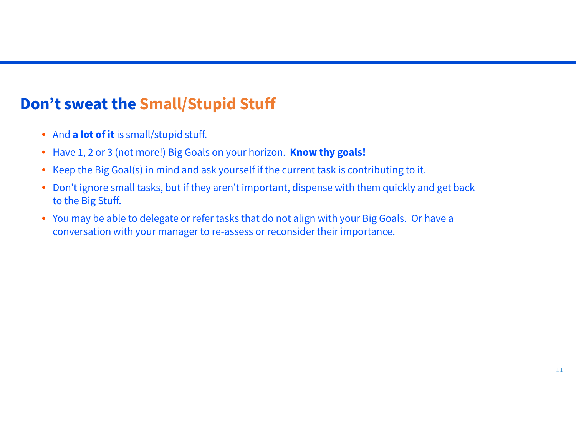#### **Don't sweat the Small/Stupid Stuff**

- And **a lot of it** is small/stupid stuff.
- Have 1, 2 or 3 (not more!) Big Goals on your horizon. **Know thy goals!**
- Keep the Big Goal(s) in mind and ask yourself if the current task is contributing to it.
- $\bullet$  Don't ignore small tasks, but if they aren't important, dispense with them quickly and get back to the Big Stuff.
- You may be able to delegate or refer tasks that do not align with your Big Goals. Or have a conversation with your manager to re-assess or reconsider their importance.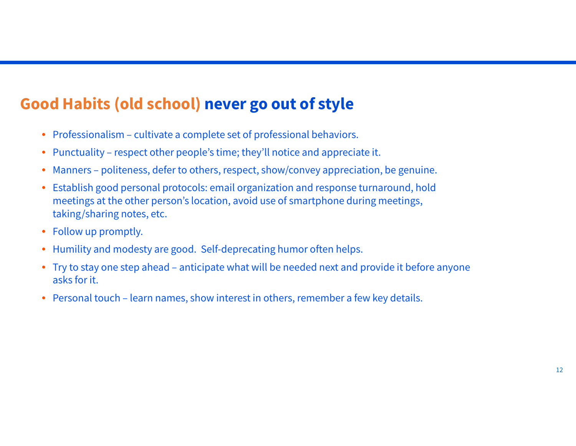## **Good Habits (old school) never go out of style**

- Professionalism cultivate a complete set of professional behaviors.
- Punctuality respect other people's time; they'll notice and appreciate it.
- •Manners – politeness, defer to others, respect, show/convey appreciation, be genuine.
- • Establish good personal protocols: email organization and response turnaround, hold meetings at the other person's location, avoid use of smartphone during meetings, taking/sharing notes, etc.
- Follow up promptly.
- •Humility and modesty are good. Self-deprecating humor often helps.
- $\bullet$  Try to stay one step ahead – anticipate what will be needed next and provide it before anyone asks for it.
- Personal touch learn names, show interest in others, remember a few key details.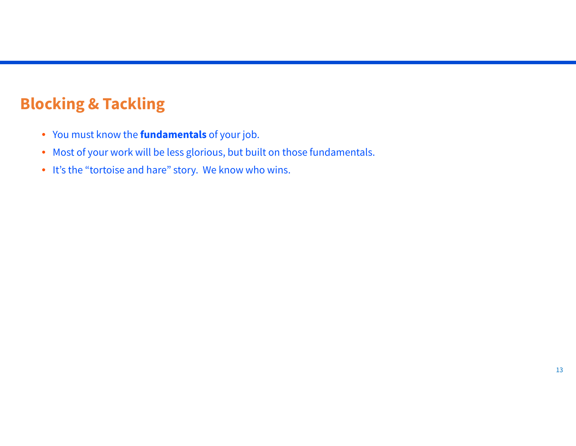# **Blocking & Tackling**

- You must know the **fundamentals** of your job.
- Most of your work will be less glorious, but built on those fundamentals.
- It's the "tortoise and hare" story. We know who wins.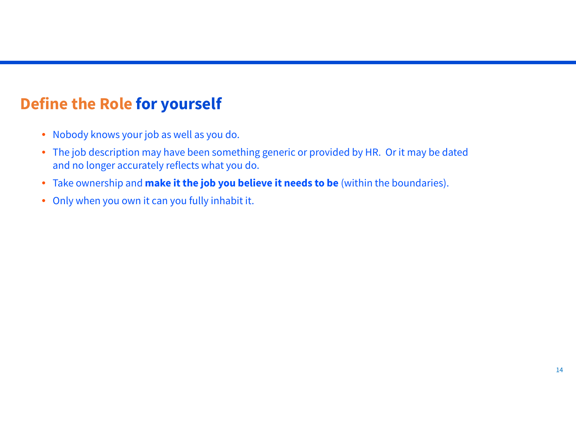# **Define the Role for yourself**

- Nobody knows your job as well as you do.
- The job description may have been something generic or provided by HR. Or it may be dated and no longer accurately reflects what you do.
- Take ownership and **make it the job you believe it needs to be** (within the boundaries).
- Only when you own it can you fully inhabit it.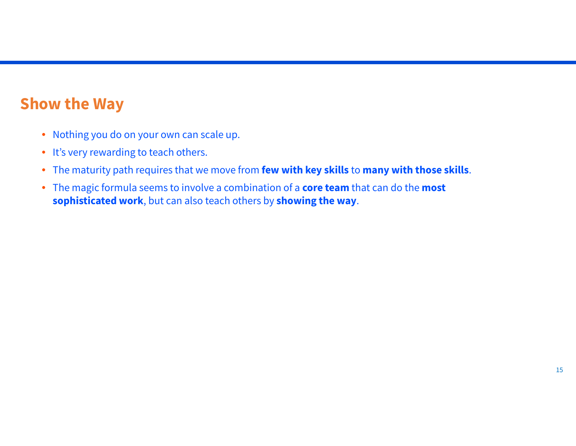#### **Show the Way**

- Nothing you do on your own can scale up.
- It's very rewarding to teach others.
- The maturity path requires that we move from **few with key skills** to **many with those skills**.
- The magic formula seems to involve a combination of a **core team** that can do the **most sophisticated work**, but can also teach others by **showing the way**.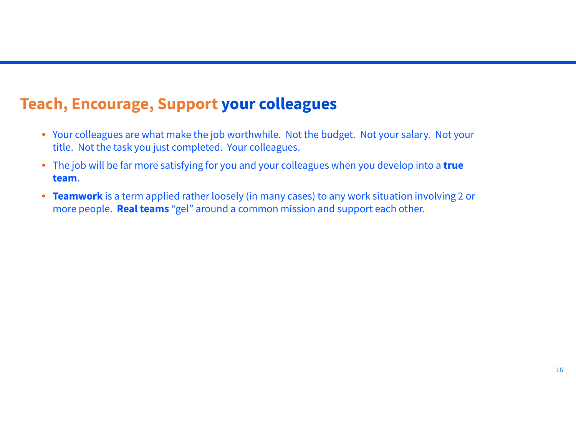#### **Teach, Encourage, Support your colleagues**

- Your colleagues are what make the job worthwhile. Not the budget. Not your salary. Not your title. Not the task you just completed. Your colleagues.
- The job will be far more satisfying for you and your colleagues when you develop into a **true team**.
- **Teamwork** is a term applied rather loosely (in many cases) to any work situation involving 2 or more people. **Real teams** "gel" around a common mission and support each other.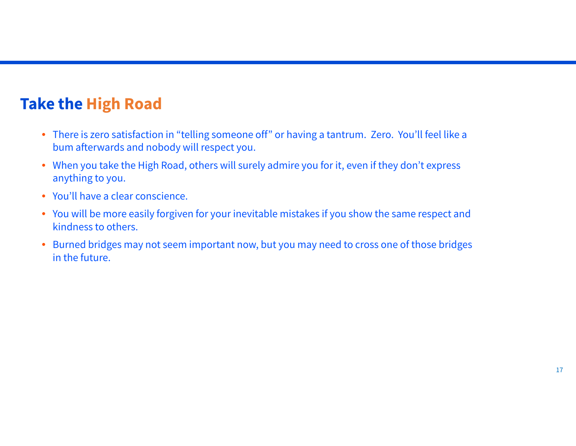## **Take the High Road**

- There is zero satisfaction in "telling someone off" or having a tantrum. Zero. You'll feel like a bum afterwards and nobody will respect you.
- When you take the High Road, others will surely admire you for it, even if they don't express anything to you.
- You'll have a clear conscience.
- You will be more easily forgiven for your inevitable mistakes if you show the same respect and kindness to others.
- Burned bridges may not seem important now, but you may need to cross one of those bridges in the future.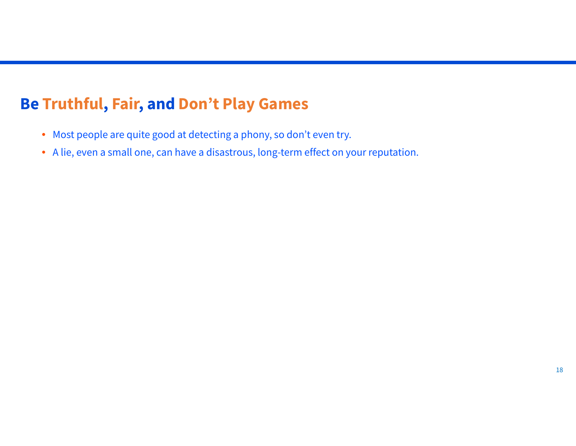#### **Be Truthful, Fair, and Don't Play Games**

- Most people are quite good at detecting a phony, so don't even try.
- A lie, even a small one, can have a disastrous, long-term effect on your reputation.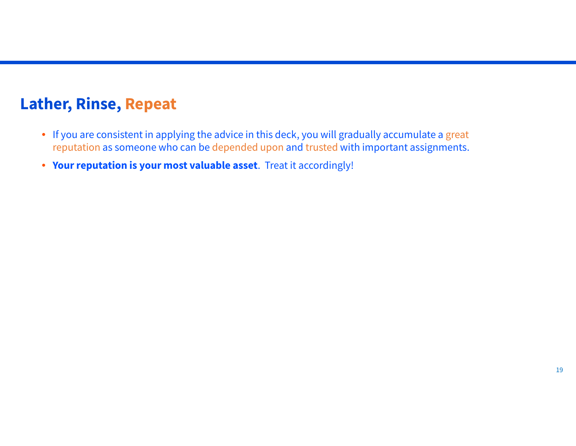#### **Lather, Rinse, Repeat**

- If you are consistent in applying the advice in this deck, you will gradually accumulate a great reputation as someone who can be depended upon and trusted with important assignments.
- **Your reputation is your most valuable asset**. Treat it accordingly!